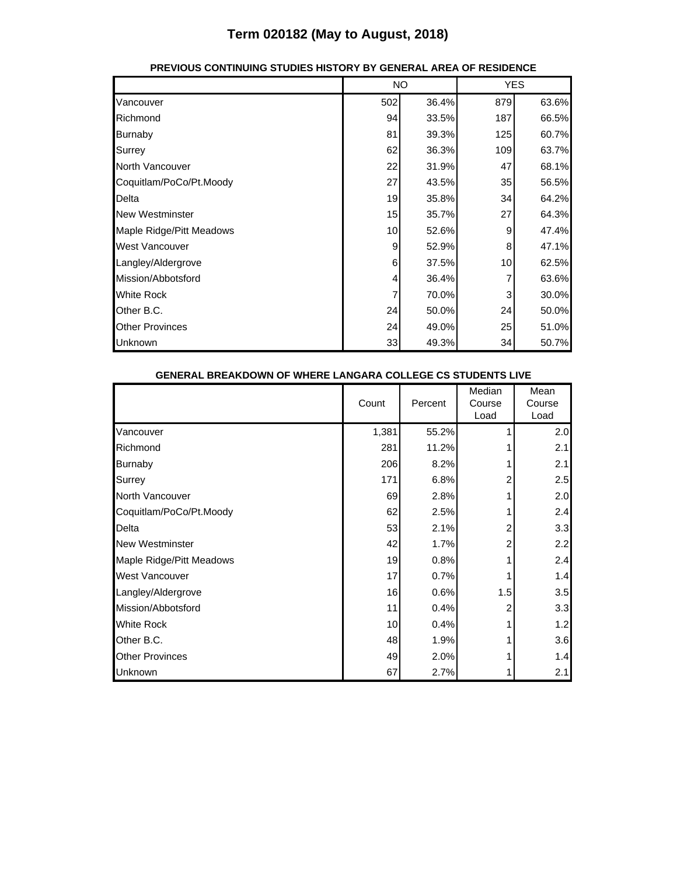|                          |                 | <b>NO</b> |     | <b>YES</b> |  |
|--------------------------|-----------------|-----------|-----|------------|--|
| Vancouver                | 502             | 36.4%     | 879 | 63.6%      |  |
| Richmond                 | 94              | 33.5%     | 187 | 66.5%      |  |
| <b>Burnaby</b>           | 81              | 39.3%     | 125 | 60.7%      |  |
| Surrey                   | 62              | 36.3%     | 109 | 63.7%      |  |
| North Vancouver          | 22              | 31.9%     | 47  | 68.1%      |  |
| Coquitlam/PoCo/Pt.Moody  | 27              | 43.5%     | 35  | 56.5%      |  |
| Delta                    | 19              | 35.8%     | 34  | 64.2%      |  |
| <b>New Westminster</b>   | 15              | 35.7%     | 27  | 64.3%      |  |
| Maple Ridge/Pitt Meadows | 10 <sup>1</sup> | 52.6%     | 9   | 47.4%      |  |
| <b>West Vancouver</b>    | 9               | 52.9%     | 8   | 47.1%      |  |
| Langley/Aldergrove       | 6               | 37.5%     | 10  | 62.5%      |  |
| Mission/Abbotsford       | $\frac{4}{ }$   | 36.4%     | 7   | 63.6%      |  |
| <b>White Rock</b>        |                 | 70.0%     | 3   | 30.0%      |  |
| Other B.C.               | 24              | 50.0%     | 24  | 50.0%      |  |
| <b>Other Provinces</b>   | 24              | 49.0%     | 25  | 51.0%      |  |
| Unknown                  | 33              | 49.3%     | 34  | 50.7%      |  |

#### **PREVIOUS CONTINUING STUDIES HISTORY BY GENERAL AREA OF RESIDENCE**

| GENERAL BREAKDOWN OF WHERE LANGARA COLLEGE CS STUDENTS LIVE |       |       |         |                          |                        |
|-------------------------------------------------------------|-------|-------|---------|--------------------------|------------------------|
|                                                             | Count |       | Percent | Median<br>Course<br>Load | Mean<br>Course<br>Load |
| Vancouver                                                   |       | 1,381 | 55.2%   |                          | 2.0                    |
| Richmond                                                    |       | 281   | 11.2%   |                          | 2.1                    |
| <b>Burnaby</b>                                              |       | 206   | 8.2%    |                          | 2.1                    |
| Surrey                                                      |       | 171   | 6.8%    |                          | 2.5                    |
| North Vancouver                                             |       | 69    | 2.8%    |                          | 2.0                    |
| Coquitlam/PoCo/Pt.Moody                                     |       | 62    | 2.5%    |                          | 2.4                    |
| Delta                                                       |       | 53    | 2.1%    |                          | 3.3                    |
| <b>New Westminster</b>                                      |       | 42    | 1.7%    | 2                        | 2.2                    |
| Maple Ridge/Pitt Meadows                                    |       | 19    | 0.8%    |                          | 2.4                    |
| <b>West Vancouver</b>                                       |       | 17    | 0.7%    |                          | 1.4                    |
| Langley/Aldergrove                                          |       | 16    | 0.6%    | 1.5                      | 3.5                    |
| Mission/Abbotsford                                          |       | 11    | 0.4%    |                          | 3.3                    |
| <b>White Rock</b>                                           |       | 10    | 0.4%    |                          | 1.2                    |
| Other B.C.                                                  |       | 48    | 1.9%    |                          | 3.6                    |
| <b>Other Provinces</b>                                      |       | 49    | 2.0%    |                          | 1.4                    |
| Unknown                                                     |       | 67    | 2.7%    |                          | 2.1                    |

#### **GENERAL BREAKDOWN OF WHERE LANGARA COLLEGE CS STUDENTS LIVE**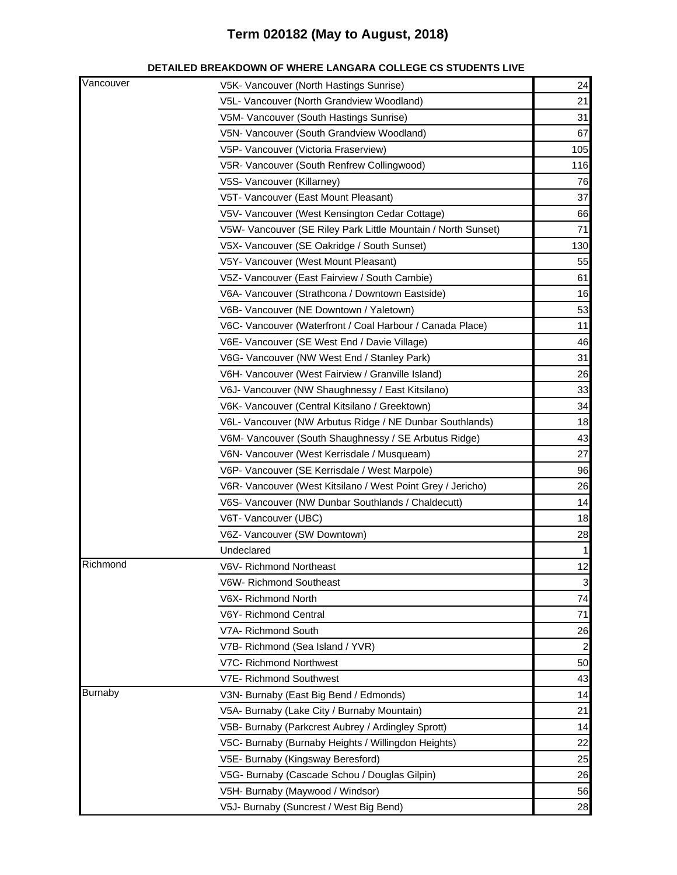| Vancouver      | V5K- Vancouver (North Hastings Sunrise)                                                                                                                                                                           | 24           |
|----------------|-------------------------------------------------------------------------------------------------------------------------------------------------------------------------------------------------------------------|--------------|
|                | V5L- Vancouver (North Grandview Woodland)                                                                                                                                                                         | 21           |
|                | V5M- Vancouver (South Hastings Sunrise)                                                                                                                                                                           | 31           |
|                | V5N- Vancouver (South Grandview Woodland)                                                                                                                                                                         | 67           |
|                | V5P- Vancouver (Victoria Fraserview)                                                                                                                                                                              | 105          |
|                | V5R- Vancouver (South Renfrew Collingwood)                                                                                                                                                                        | 116          |
|                | V5S- Vancouver (Killarney)                                                                                                                                                                                        | 76           |
|                | V5T- Vancouver (East Mount Pleasant)                                                                                                                                                                              | 37           |
|                | V5V- Vancouver (West Kensington Cedar Cottage)                                                                                                                                                                    | 66           |
|                | V5W- Vancouver (SE Riley Park Little Mountain / North Sunset)                                                                                                                                                     | 71           |
|                | V5X- Vancouver (SE Oakridge / South Sunset)                                                                                                                                                                       | 130          |
|                | V5Y- Vancouver (West Mount Pleasant)                                                                                                                                                                              | 55           |
|                | V5Z- Vancouver (East Fairview / South Cambie)                                                                                                                                                                     | 61           |
|                | V6A- Vancouver (Strathcona / Downtown Eastside)                                                                                                                                                                   | 16           |
|                | V6B- Vancouver (NE Downtown / Yaletown)                                                                                                                                                                           | 53           |
|                | V6C- Vancouver (Waterfront / Coal Harbour / Canada Place)                                                                                                                                                         | 11           |
|                | V6E- Vancouver (SE West End / Davie Village)                                                                                                                                                                      | 46           |
|                | V6G- Vancouver (NW West End / Stanley Park)                                                                                                                                                                       | 31           |
|                | V6H- Vancouver (West Fairview / Granville Island)                                                                                                                                                                 | 26           |
|                | V6J- Vancouver (NW Shaughnessy / East Kitsilano)                                                                                                                                                                  | 33           |
|                | V6K- Vancouver (Central Kitsilano / Greektown)                                                                                                                                                                    | 34           |
|                | V6L- Vancouver (NW Arbutus Ridge / NE Dunbar Southlands)<br>V6M- Vancouver (South Shaughnessy / SE Arbutus Ridge)<br>V6N- Vancouver (West Kerrisdale / Musqueam)<br>V6P- Vancouver (SE Kerrisdale / West Marpole) |              |
|                |                                                                                                                                                                                                                   |              |
|                |                                                                                                                                                                                                                   |              |
|                |                                                                                                                                                                                                                   |              |
|                | V6R- Vancouver (West Kitsilano / West Point Grey / Jericho)                                                                                                                                                       | 26           |
|                | V6S- Vancouver (NW Dunbar Southlands / Chaldecutt)                                                                                                                                                                | 14           |
|                | V6T- Vancouver (UBC)                                                                                                                                                                                              | 18           |
|                | V6Z- Vancouver (SW Downtown)                                                                                                                                                                                      | 28           |
|                | Undeclared                                                                                                                                                                                                        | $\mathbf{1}$ |
| Richmond       | V6V- Richmond Northeast                                                                                                                                                                                           | 12           |
|                | V6W- Richmond Southeast                                                                                                                                                                                           | 3            |
|                | V6X- Richmond North                                                                                                                                                                                               | 74           |
|                | V6Y- Richmond Central                                                                                                                                                                                             | 71           |
|                | V7A- Richmond South                                                                                                                                                                                               | 26           |
|                | V7B- Richmond (Sea Island / YVR)                                                                                                                                                                                  | 2            |
|                | V7C- Richmond Northwest                                                                                                                                                                                           | 50           |
|                | V7E- Richmond Southwest                                                                                                                                                                                           | 43           |
| <b>Burnaby</b> | V3N- Burnaby (East Big Bend / Edmonds)                                                                                                                                                                            | 14           |
|                | V5A- Burnaby (Lake City / Burnaby Mountain)                                                                                                                                                                       | 21           |
|                | V5B- Burnaby (Parkcrest Aubrey / Ardingley Sprott)                                                                                                                                                                | 14           |
|                | V5C- Burnaby (Burnaby Heights / Willingdon Heights)                                                                                                                                                               | 22           |
|                | V5E- Burnaby (Kingsway Beresford)                                                                                                                                                                                 | 25           |
|                | V5G- Burnaby (Cascade Schou / Douglas Gilpin)                                                                                                                                                                     | 26           |
|                | V5H- Burnaby (Maywood / Windsor)                                                                                                                                                                                  | 56           |
|                | V5J- Burnaby (Suncrest / West Big Bend)                                                                                                                                                                           | 28           |

#### **DETAILED BREAKDOWN OF WHERE LANGARA COLLEGE CS STUDENTS LIVE**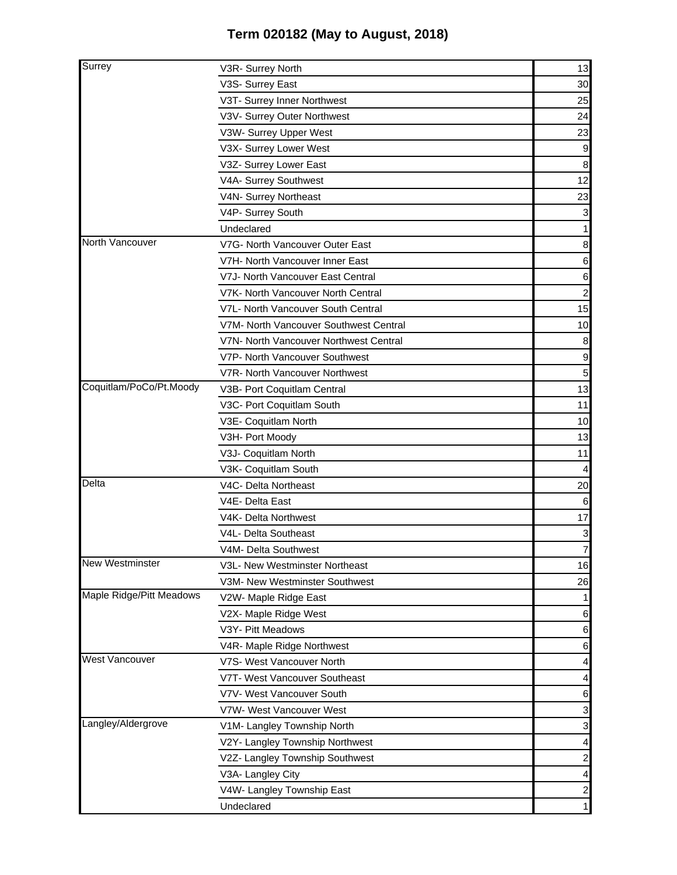| Surrey                   | V3R- Surrey North                      | 13               |
|--------------------------|----------------------------------------|------------------|
|                          | V3S- Surrey East                       | 30               |
|                          | V3T- Surrey Inner Northwest            | 25               |
|                          | V3V- Surrey Outer Northwest            | 24               |
|                          | V3W- Surrey Upper West                 | 23               |
|                          | V3X- Surrey Lower West                 | 9                |
|                          | V3Z- Surrey Lower East                 | $\boldsymbol{8}$ |
|                          | V4A- Surrey Southwest                  | 12               |
|                          | V4N- Surrey Northeast                  | 23               |
|                          | V4P- Surrey South                      | $\mathbf{3}$     |
|                          | Undeclared                             | $\mathbf{1}$     |
| North Vancouver          | V7G- North Vancouver Outer East        | 8                |
|                          | V7H- North Vancouver Inner East        | 6                |
|                          | V7J- North Vancouver East Central      | $6 \,$           |
|                          | V7K- North Vancouver North Central     | $\mathbf{2}$     |
|                          | V7L- North Vancouver South Central     | 15               |
|                          | V7M- North Vancouver Southwest Central | 10               |
|                          | V7N- North Vancouver Northwest Central | 8                |
|                          | V7P- North Vancouver Southwest         | $\overline{9}$   |
|                          | V7R- North Vancouver Northwest         | 5 <sub>l</sub>   |
| Coquitlam/PoCo/Pt.Moody  | V3B- Port Coquitlam Central            | 13               |
|                          | V3C- Port Coquitlam South              | 11               |
|                          | V3E- Coquitlam North                   | 10               |
|                          | V3H- Port Moody                        | 13               |
|                          | V3J- Coquitlam North                   | 11               |
|                          | V3K- Coquitlam South                   |                  |
| Delta                    | V4C- Delta Northeast                   | 20               |
|                          | V4E- Delta East                        | 6                |
|                          | V4K- Delta Northwest                   | 17               |
|                          | V4L- Delta Southeast                   | $\mathbf{3}$     |
|                          | V4M- Delta Southwest                   | $\overline{7}$   |
| <b>New Westminster</b>   | V3L- New Westminster Northeast         | 16               |
|                          | V3M- New Westminster Southwest         | 26               |
| Maple Ridge/Pitt Meadows | V2W- Maple Ridge East                  | 1                |
|                          | V2X- Maple Ridge West                  | $6 \,$           |
|                          | V3Y- Pitt Meadows                      | 6                |
|                          | V4R- Maple Ridge Northwest             | 6                |
| <b>West Vancouver</b>    | V7S- West Vancouver North              | $\overline{4}$   |
|                          | V7T- West Vancouver Southeast          | $\vert$          |
|                          | V7V- West Vancouver South              | $6 \,$           |
|                          | V7W- West Vancouver West               | $\mathbf{3}$     |
| Langley/Aldergrove       | V1M- Langley Township North            | $\mathbf{3}$     |
|                          | V2Y- Langley Township Northwest        | $\vert$          |
|                          | V2Z- Langley Township Southwest        | $\mathbf{2}$     |
|                          | V3A- Langley City                      | $\overline{4}$   |
|                          | V4W- Langley Township East             | $\mathbf{2}$     |
|                          | Undeclared                             | $\mathbf{1}$     |
|                          |                                        |                  |